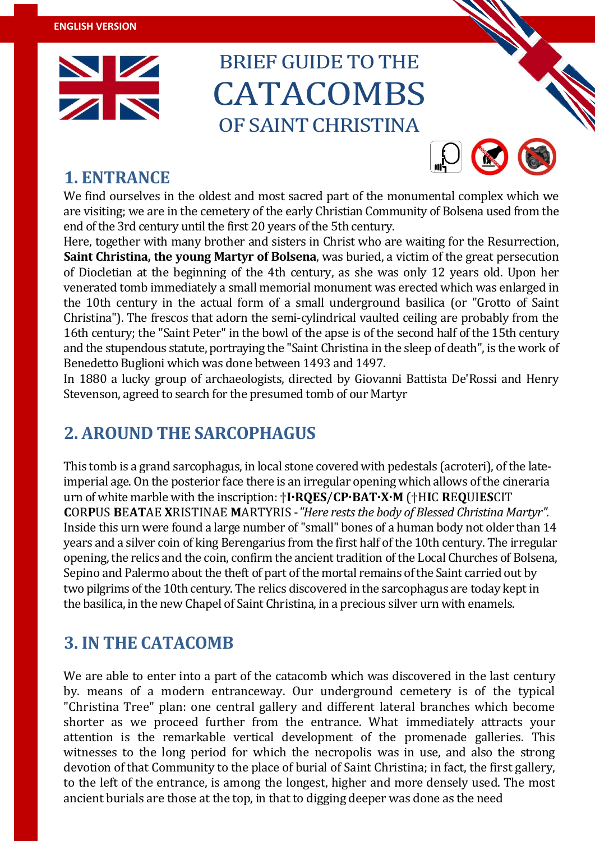

# BRIEF GUIDE TO THE **CATACOMBS** OF SAINT CHRISTINA



### **1. ENTRANCE**

We find ourselves in the oldest and most sacred part of the monumental complex which we are visiting; we are in the cemetery of the early Christian Community of Bolsena used from the end of the 3rd century until the first 20 years of the 5th century.

Here, together with many brother and sisters in Christ who are waiting for the Resurrection, **Saint Christina, the young Martyr of Bolsena**, was buried, a victim of the great persecution of Diocletian at the beginning of the 4th century, as she was only 12 years old. Upon her venerated tomb immediately a small memorial monument was erected which was enlarged in the 10th century in the actual form of a small underground basilica (or "Grotto of Saint Christina"). The frescos that adorn the semi-cylindrical vaulted ceiling are probably from the 16th century; the "Saint Peter" in the bowl of the apse is of the second half of the 15th century and the stupendous statute, portraying the "Saint Christina in the sleep of death", is the work of Benedetto Buglioni which was done between 1493 and 1497.

In 1880 a lucky group of archaeologists, directed by Giovanni Battista De'Rossi and Henry Stevenson, agreed to search for the presumed tomb of our Martyr

# **2. AROUND THE SARCOPHAGUS**

This tomb is a grand sarcophagus, in local stone covered with pedestals (acroteri), of the lateimperial age. On the posterior face there is an irregular opening which allows of the cineraria urn of white marble with the inscription: †**I·RQES**/**CP·BAT·X·M** (†H**I**C **R**E**Q**UI**ES**CIT **C**OR**P**US **B**E**AT**AE **X**RISTINAE **M**ARTYRIS -*"Here rests the body of Blessed Christina Martyr".*  Inside this urn were found a large number of "small" bones of a human body not older than 14 years and a silver coin of king Berengarius from the first half of the 10th century. The irregular opening, the relics and the coin, confirm the ancient tradition of the Local Churches of Bolsena, Sepino and Palermo about the theft of part of the mortal remains of the Saint carried out by two pilgrims of the 10th century. The relics discovered in the sarcophagus are today kept in the basilica, in the new Chapel of Saint Christina, in a precious silver urn with enamels.

## **3. IN THE CATACOMB**

We are able to enter into a part of the catacomb which was discovered in the last century by. means of a modern entranceway. Our underground cemetery is of the typical "Christina Tree" plan: one central gallery and different lateral branches which become shorter as we proceed further from the entrance. What immediately attracts your attention is the remarkable vertical development of the promenade galleries. This witnesses to the long period for which the necropolis was in use, and also the strong devotion of that Community to the place of burial of Saint Christina; in fact, the first gallery, to the left of the entrance, is among the longest, higher and more densely used. The most ancient burials are those at the top, in that to digging deeper was done as the need